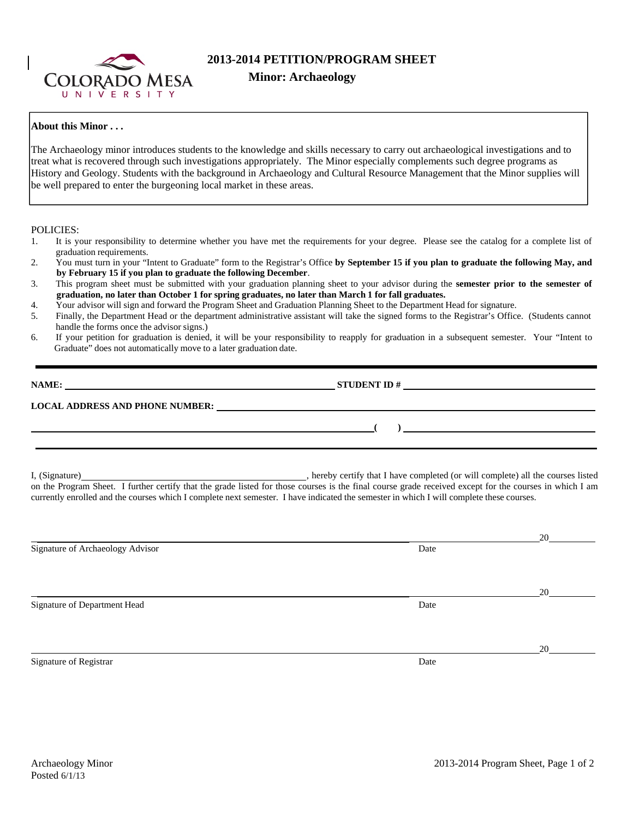

## **2013-2014 PETITION/PROGRAM SHEET**

## **About this Minor . . .**

The Archaeology minor introduces students to the knowledge and skills necessary to carry out archaeological investigations and to treat what is recovered through such investigations appropriately. The Minor especially complements such degree programs as History and Geology. Students with the background in Archaeology and Cultural Resource Management that the Minor supplies will be well prepared to enter the burgeoning local market in these areas.

POLICIES:

- 1. It is your responsibility to determine whether you have met the requirements for your degree. Please see the catalog for a complete list of graduation requirements.<br>2. You must turn in your "I
- 2. You must turn in your "Intent to Graduate" form to the Registrar's Office **by September 15 if you plan to graduate the following May, and by February 15 if you plan to graduate the following December**.
- 3. This program sheet must be submitted with your graduation planning sheet to your advisor during the **semester prior to the semester of graduation, no later than October 1 for spring graduates, no later than March 1 for fall graduates.**
- 4. Your advisor will sign and forward the Program Sheet and Graduation Planning Sheet to the Department Head for signature.
- 5. Finally, the Department Head or the department administrative assistant will take the signed forms to the Registrar's Office. (Students cannot handle the forms once the advisor signs.)
- 6. If your petition for graduation is denied, it will be your responsibility to reapply for graduation in a subsequent semester. Your "Intent to Graduate" does not automatically move to a later graduation date.

| NAME:                                  | <b>STUDENT ID#</b> |  |
|----------------------------------------|--------------------|--|
| <b>LOCAL ADDRESS AND PHONE NUMBER:</b> |                    |  |
|                                        |                    |  |

I, (Signature) , hereby certify that I have completed (or will complete) all the courses listed on the Program Sheet. I further certify that the grade listed for those courses is the final course grade received except for the courses in which I am currently enrolled and the courses which I complete next semester. I have indicated the semester in which I will complete these courses.

|                                  |      | 20 |
|----------------------------------|------|----|
| Signature of Archaeology Advisor | Date |    |
|                                  |      |    |
|                                  |      |    |
|                                  |      | 20 |
| Signature of Department Head     | Date |    |
|                                  |      |    |
|                                  |      |    |
|                                  |      | 20 |
| Signature of Registrar           | Date |    |
|                                  |      |    |